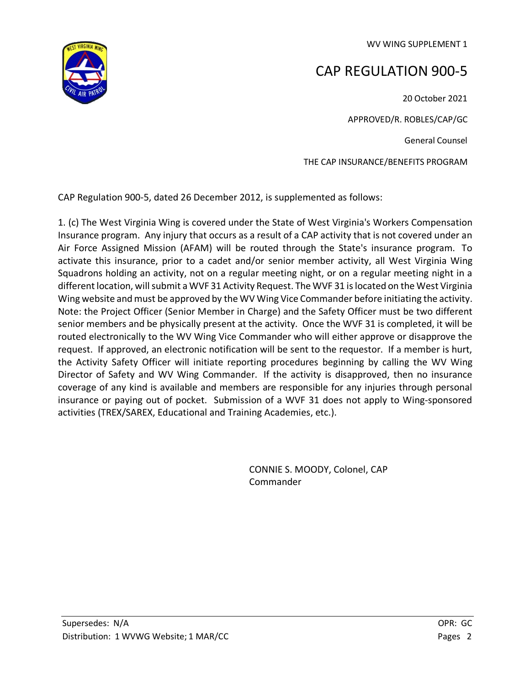WV WING SUPPLEMENT 1



## CAP REGULATION 900-5

20 October 2021 APPROVED/R. ROBLES/CAP/GC General Counsel THE CAP INSURANCE/BENEFITS PROGRAM

CAP Regulation 900-5, dated 26 December 2012, is supplemented as follows:

1. (c) The West Virginia Wing is covered under the State of West Virginia's Workers Compensation Insurance program. Any injury that occurs as a result of a CAP activity that is not covered under an Air Force Assigned Mission (AFAM) will be routed through the State's insurance program. To activate this insurance, prior to a cadet and/or senior member activity, all West Virginia Wing Squadrons holding an activity, not on a regular meeting night, or on a regular meeting night in a different location, will submit a WVF 31 Activity Request. The WVF 31 is located on the West Virginia Wing website and must be approved by the WV Wing Vice Commander before initiating the activity. Note: the Project Officer (Senior Member in Charge) and the Safety Officer must be two different senior members and be physically present at the activity. Once the WVF 31 is completed, it will be routed electronically to the WV Wing Vice Commander who will either approve or disapprove the request. If approved, an electronic notification will be sent to the requestor. If a member is hurt, the Activity Safety Officer will initiate reporting procedures beginning by calling the WV Wing Director of Safety and WV Wing Commander. If the activity is disapproved, then no insurance coverage of any kind is available and members are responsible for any injuries through personal insurance or paying out of pocket. Submission of a WVF 31 does not apply to Wing-sponsored activities (TREX/SAREX, Educational and Training Academies, etc.).

> CONNIE S. MOODY, Colonel, CAP Commander